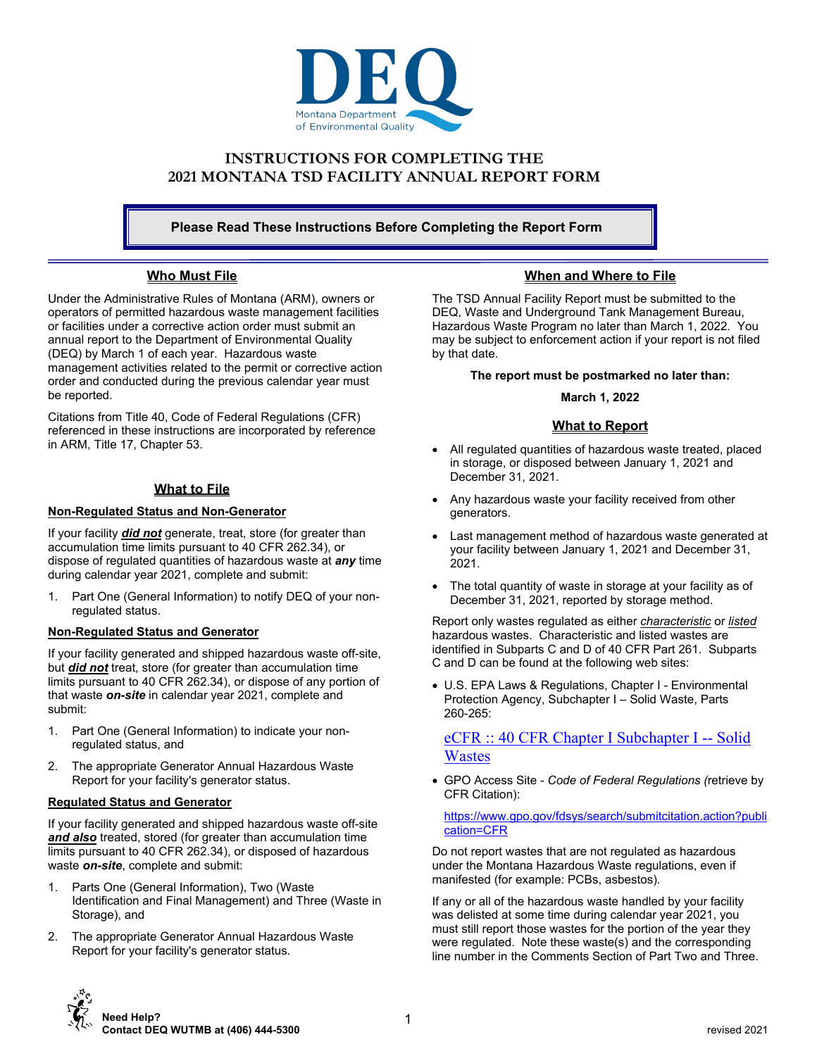

# **INSTRUCTIONS FOR COMPLETING THE 2021 MONTANA TSD FACILITY ANNUAL REPORT FORM**

**Please Read These Instructions Before Completing the Report Form** 

## **Who Must File**

Under the Administrative Rules of Montana (ARM), owners or operators of permitted hazardous waste management facilities or facilities under a corrective action order must submit an annual report to the Department of Environmental Quality (DEQ) by March 1 of each year. Hazardous waste management activities related to the permit or corrective action order and conducted during the previous calendar year must be reported.

Citations from Title 40, Code of Federal Regulations (CFR) referenced in these instructions are incorporated by reference in ARM, Title 17, Chapter 53.

## **What to File**

## **Non-Regulated Status and Non-Generator**

If your facility *did not* generate, treat, store (for greater than accumulation time limits pursuant to 40 CFR 262.34), or dispose of regulated quantities of hazardous waste at *any* time during calendar year 2021, complete and submit:

1. Part One (General Information) to notify DEQ of your nonregulated status.

## **Non-Regulated Status and Generator**

If your facility generated and shipped hazardous waste off-site, but *did not* treat, store (for greater than accumulation time limits pursuant to 40 CFR 262.34), or dispose of any portion of that waste *on-site* in calendar year 2021, complete and submit:

- 1. Part One (General Information) to indicate your nonregulated status, and
- 2. The appropriate Generator Annual Hazardous Waste Report for your facility's generator status.

### **Regulated Status and Generator**

If your facility generated and shipped hazardous waste off-site *and also* treated, stored (for greater than accumulation time limits pursuant to 40 CFR 262.34), or disposed of hazardous waste *on-site*, complete and submit:

- 1. Parts One (General Information), Two (Waste Identification and Final Management) and Three (Waste in Storage), and
- 2. The appropriate Generator Annual Hazardous Waste Report for your facility's generator status.

## **When and Where to File**

The TSD Annual Facility Report must be submitted to the DEQ, Waste and Underground Tank Management Bureau, Hazardous Waste Program no later than March 1, 2022. You may be subject to enforcement action if your report is not filed by that date.

**The report must be postmarked no later than:** 

#### **March 1, 2022**

## **What to Report**

- All regulated quantities of hazardous waste treated, placed in storage, or disposed between January 1, 2021 and December 31, 2021.
- Any hazardous waste your facility received from other generators.
- Last management method of hazardous waste generated at your facility between January 1, 2021 and December 31, 2021.
- The total quantity of waste in storage at your facility as of December 31, 2021, reported by storage method.

Report only wastes regulated as either *characteristic* or *listed* hazardous wastes. Characteristic and listed wastes are identified in Subparts C and D of 40 CFR Part 261. Subparts C and D can be found at the following web sites:

 U.S. EPA Laws & Regulations, Chapter I - Environmental Protection Agency, Subchapter I – Solid Waste, Parts 260-265:

# eCFR :: 40 CFR Chapter I Subchapter I -- Solid **Wastes**

 GPO Access Site - *Code of Federal Regulations (*retrieve by CFR Citation):

https://www.gpo.gov/fdsys/search/submitcitation.action?publi cation=CFR

Do not report wastes that are not regulated as hazardous under the Montana Hazardous Waste regulations, even if manifested (for example: PCBs, asbestos).

If any or all of the hazardous waste handled by your facility was delisted at some time during calendar year 2021, you must still report those wastes for the portion of the year they were regulated. Note these waste(s) and the corresponding line number in the Comments Section of Part Two and Three.

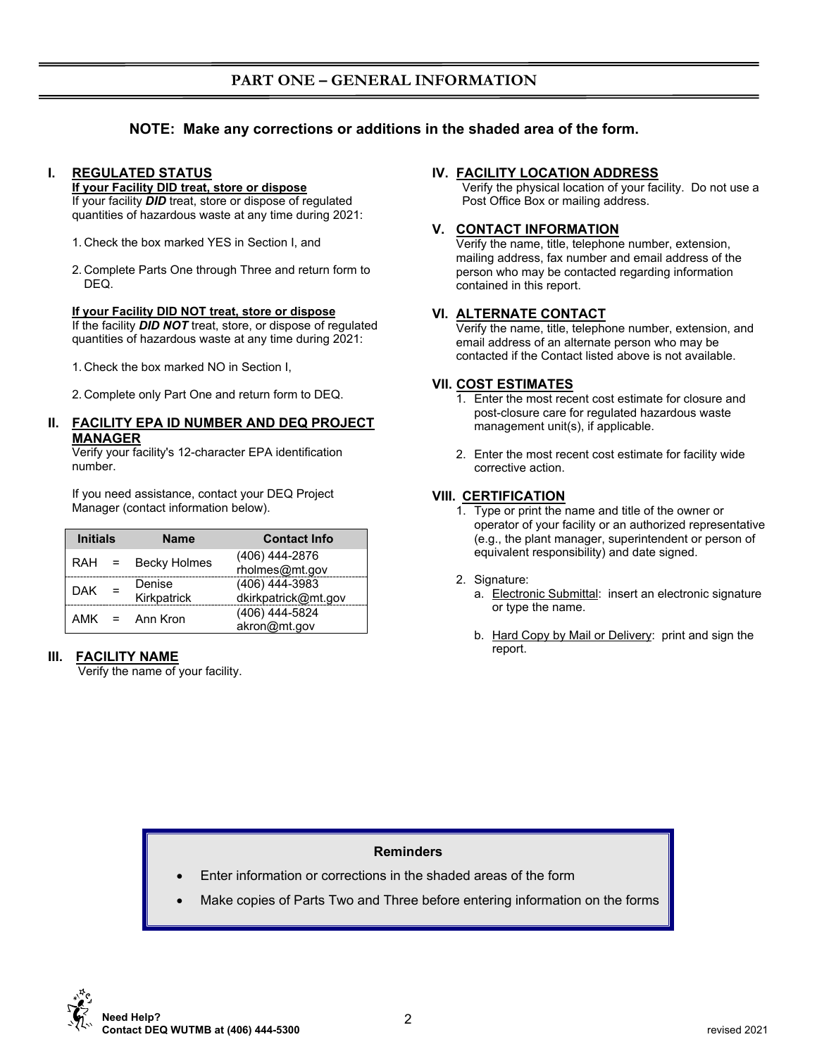# **PART ONE – GENERAL INFORMATION**

# **NOTE: Make any corrections or additions in the shaded area of the form.**

# **I. REGULATED STATUS**

#### **If your Facility DID treat, store or dispose**

If your facility *DID* treat, store or dispose of regulated quantities of hazardous waste at any time during 2021:

- 1. Check the box marked YES in Section I, and
- 2. Complete Parts One through Three and return form to DEQ.

#### **If your Facility DID NOT treat, store or dispose**

If the facility *DID NOT* treat, store, or dispose of regulated quantities of hazardous waste at any time during 2021:

- 1. Check the box marked NO in Section I,
- 2. Complete only Part One and return form to DEQ.

### **II. FACILITY EPA ID NUMBER AND DEQ PROJECT MANAGER**

Verify your facility's 12-character EPA identification number.

If you need assistance, contact your DEQ Project Manager (contact information below).

| <b>Initials</b>  |     | <b>Name</b>         | <b>Contact Info</b> |  |  |  |  |
|------------------|-----|---------------------|---------------------|--|--|--|--|
| $RAH =$          |     | <b>Becky Holmes</b> | (406) 444-2876      |  |  |  |  |
|                  |     |                     | rholmes@mt.gov      |  |  |  |  |
| <b>DAK</b>       | $=$ | Denise              | (406) 444-3983      |  |  |  |  |
|                  |     | Kirkpatrick         | dkirkpatrick@mt.gov |  |  |  |  |
| $AMK = Ann$ Kron |     |                     | (406) 444-5824      |  |  |  |  |
|                  |     |                     | akron@mt.gov        |  |  |  |  |

## **III. FACILITY NAME**

Verify the name of your facility.

## **IV. FACILITY LOCATION ADDRESS**

Verify the physical location of your facility. Do not use a Post Office Box or mailing address.

### **V. CONTACT INFORMATION**

Verify the name, title, telephone number, extension, mailing address, fax number and email address of the person who may be contacted regarding information contained in this report.

## **VI. ALTERNATE CONTACT**

Verify the name, title, telephone number, extension, and email address of an alternate person who may be contacted if the Contact listed above is not available.

### **VII. COST ESTIMATES**

- 1. Enter the most recent cost estimate for closure and post-closure care for regulated hazardous waste management unit(s), if applicable.
- 2. Enter the most recent cost estimate for facility wide corrective action.

## **VIII. CERTIFICATION**

1. Type or print the name and title of the owner or operator of your facility or an authorized representative (e.g., the plant manager, superintendent or person of equivalent responsibility) and date signed.

### 2. Signature:

- a. Electronic Submittal: insert an electronic signature or type the name.
- b. Hard Copy by Mail or Delivery: print and sign the report.

# **Reminders**

- Enter information or corrections in the shaded areas of the form
- Make copies of Parts Two and Three before entering information on the forms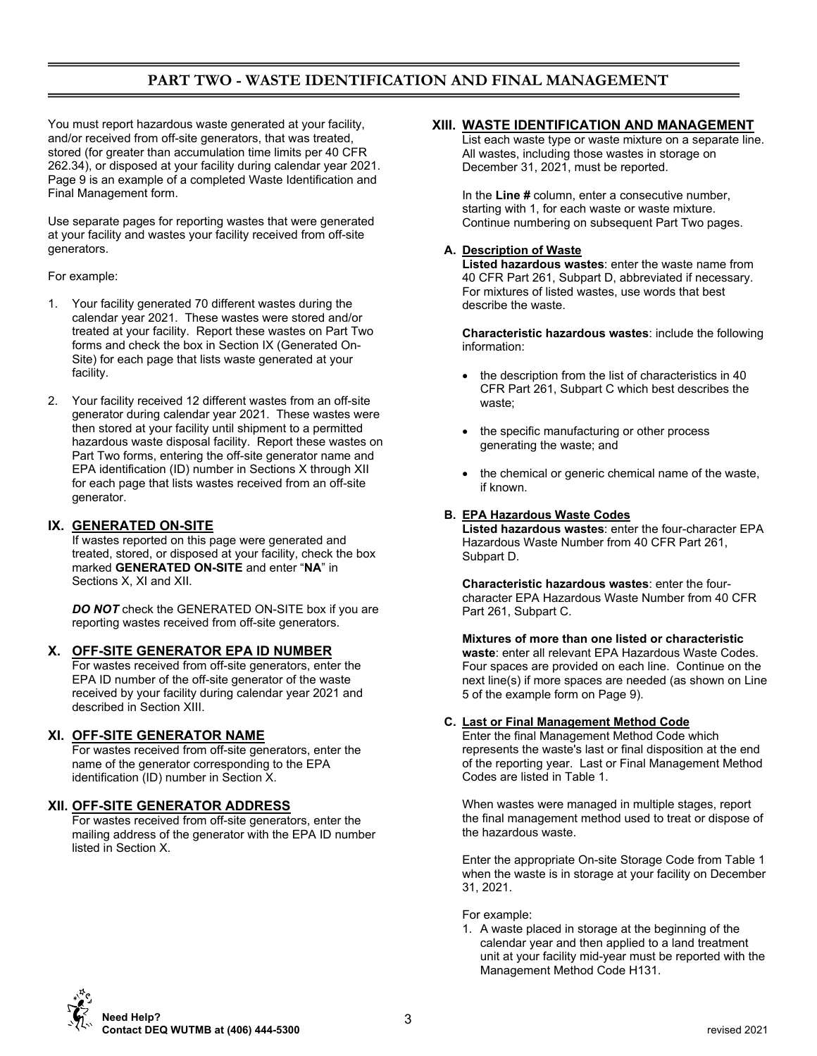# **PART TWO - WASTE IDENTIFICATION AND FINAL MANAGEMENT**

You must report hazardous waste generated at your facility, and/or received from off-site generators, that was treated, stored (for greater than accumulation time limits per 40 CFR 262.34), or disposed at your facility during calendar year 2021. Page 9 is an example of a completed Waste Identification and Final Management form.

Use separate pages for reporting wastes that were generated at your facility and wastes your facility received from off-site generators.

### For example:

- 1. Your facility generated 70 different wastes during the calendar year 2021. These wastes were stored and/or treated at your facility. Report these wastes on Part Two forms and check the box in Section IX (Generated On-Site) for each page that lists waste generated at your facility.
- 2. Your facility received 12 different wastes from an off-site generator during calendar year 2021. These wastes were then stored at your facility until shipment to a permitted hazardous waste disposal facility. Report these wastes on Part Two forms, entering the off-site generator name and EPA identification (ID) number in Sections X through XII for each page that lists wastes received from an off-site generator.

## **IX. GENERATED ON-SITE**

If wastes reported on this page were generated and treated, stored, or disposed at your facility, check the box marked **GENERATED ON-SITE** and enter "**NA**" in Sections X, XI and XII.

**DO NOT** check the GENERATED ON-SITE box if you are reporting wastes received from off-site generators.

### **X. OFF-SITE GENERATOR EPA ID NUMBER**

For wastes received from off-site generators, enter the EPA ID number of the off-site generator of the waste received by your facility during calendar year 2021 and described in Section XIII.

### **XI. OFF-SITE GENERATOR NAME**

For wastes received from off-site generators, enter the name of the generator corresponding to the EPA identification (ID) number in Section X.

## **XII. OFF-SITE GENERATOR ADDRESS**

For wastes received from off-site generators, enter the mailing address of the generator with the EPA ID number listed in Section X.

## **XIII. WASTE IDENTIFICATION AND MANAGEMENT**

List each waste type or waste mixture on a separate line. All wastes, including those wastes in storage on December 31, 2021, must be reported.

In the **Line #** column, enter a consecutive number, starting with 1, for each waste or waste mixture. Continue numbering on subsequent Part Two pages.

## **A. Description of Waste**

**Listed hazardous wastes**: enter the waste name from 40 CFR Part 261, Subpart D, abbreviated if necessary. For mixtures of listed wastes, use words that best describe the waste.

**Characteristic hazardous wastes**: include the following information:

- the description from the list of characteristics in 40 CFR Part 261, Subpart C which best describes the waste;
- the specific manufacturing or other process generating the waste; and
- the chemical or generic chemical name of the waste, if known.

### **B. EPA Hazardous Waste Codes**

**Listed hazardous wastes**: enter the four-character EPA Hazardous Waste Number from 40 CFR Part 261, Subpart D.

**Characteristic hazardous wastes**: enter the fourcharacter EPA Hazardous Waste Number from 40 CFR Part 261, Subpart C.

#### **Mixtures of more than one listed or characteristic waste**: enter all relevant EPA Hazardous Waste Codes. Four spaces are provided on each line. Continue on the next line(s) if more spaces are needed (as shown on Line 5 of the example form on Page 9).

### **C. Last or Final Management Method Code**

Enter the final Management Method Code which represents the waste's last or final disposition at the end of the reporting year. Last or Final Management Method Codes are listed in Table 1.

When wastes were managed in multiple stages, report the final management method used to treat or dispose of the hazardous waste.

Enter the appropriate On-site Storage Code from Table 1 when the waste is in storage at your facility on December 31, 2021.

For example:

1. A waste placed in storage at the beginning of the calendar year and then applied to a land treatment unit at your facility mid-year must be reported with the Management Method Code H131.

 **Need Help? Contact DEQ WUTMB at (406) 444-5300** revised 2021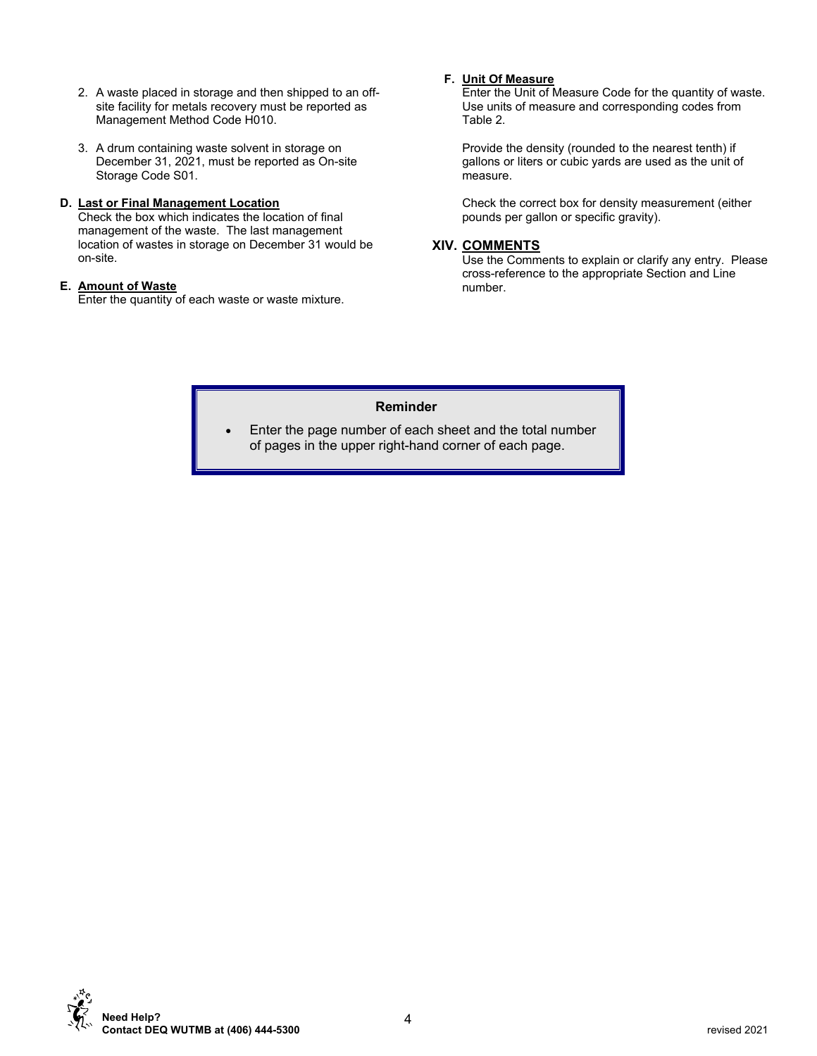- 2. A waste placed in storage and then shipped to an offsite facility for metals recovery must be reported as Management Method Code H010.
- 3. A drum containing waste solvent in storage on December 31, 2021, must be reported as On-site Storage Code S01.

## **D. Last or Final Management Location**

Check the box which indicates the location of final management of the waste. The last management location of wastes in storage on December 31 would be on-site.

## **E. Amount of Waste**

Enter the quantity of each waste or waste mixture.

# **F. Unit Of Measure**

Enter the Unit of Measure Code for the quantity of waste. Use units of measure and corresponding codes from Table 2.

Provide the density (rounded to the nearest tenth) if gallons or liters or cubic yards are used as the unit of measure.

Check the correct box for density measurement (either pounds per gallon or specific gravity).

# **XIV. COMMENTS**

Use the Comments to explain or clarify any entry. Please cross-reference to the appropriate Section and Line number.

# **Reminder**

 Enter the page number of each sheet and the total number of pages in the upper right-hand corner of each page.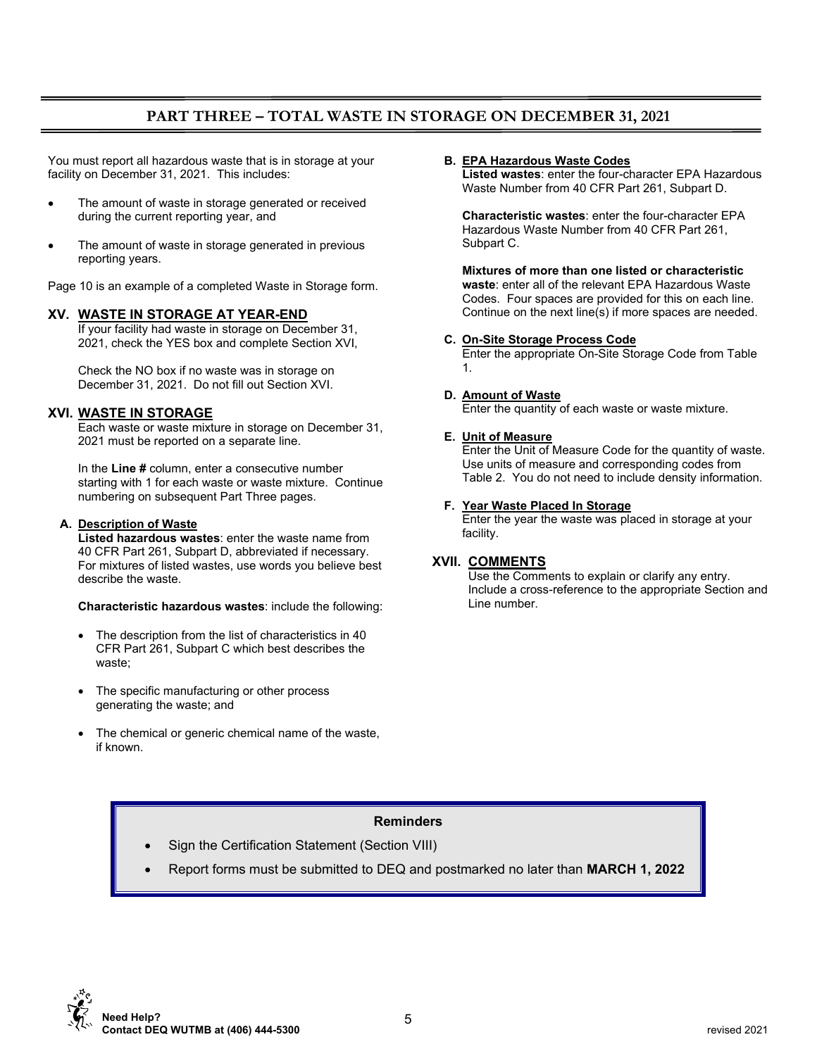# **PART THREE – TOTAL WASTE IN STORAGE ON DECEMBER 31, 2021**

You must report all hazardous waste that is in storage at your facility on December 31, 2021. This includes:

- The amount of waste in storage generated or received during the current reporting year, and
- The amount of waste in storage generated in previous reporting years.

Page 10 is an example of a completed Waste in Storage form.

### **XV. WASTE IN STORAGE AT YEAR-END**

If your facility had waste in storage on December 31, 2021, check the YES box and complete Section XVI,

Check the NO box if no waste was in storage on December 31, 2021. Do not fill out Section XVI.

## **XVI. WASTE IN STORAGE**

Each waste or waste mixture in storage on December 31, 2021 must be reported on a separate line.

In the **Line #** column, enter a consecutive number starting with 1 for each waste or waste mixture. Continue numbering on subsequent Part Three pages.

### **A. Description of Waste**

**Listed hazardous wastes**: enter the waste name from 40 CFR Part 261, Subpart D, abbreviated if necessary. For mixtures of listed wastes, use words you believe best describe the waste.

**Characteristic hazardous wastes**: include the following:

- The description from the list of characteristics in 40 CFR Part 261, Subpart C which best describes the waste;
- The specific manufacturing or other process generating the waste; and
- The chemical or generic chemical name of the waste, if known.

### **B. EPA Hazardous Waste Codes**

**Listed wastes**: enter the four-character EPA Hazardous Waste Number from 40 CFR Part 261, Subpart D.

**Characteristic wastes**: enter the four-character EPA Hazardous Waste Number from 40 CFR Part 261, Subpart C.

**Mixtures of more than one listed or characteristic waste**: enter all of the relevant EPA Hazardous Waste Codes. Four spaces are provided for this on each line. Continue on the next line(s) if more spaces are needed.

#### **C. On-Site Storage Process Code**

Enter the appropriate On-Site Storage Code from Table 1.

### **D. Amount of Waste**

Enter the quantity of each waste or waste mixture.

### **E. Unit of Measure**

Enter the Unit of Measure Code for the quantity of waste. Use units of measure and corresponding codes from Table 2. You do not need to include density information.

#### **F. Year Waste Placed In Storage**

Enter the year the waste was placed in storage at your facility.

### **XVII. COMMENTS**

Use the Comments to explain or clarify any entry. Include a cross-reference to the appropriate Section and Line number.

# **Reminders**

- Sign the Certification Statement (Section VIII)
- Report forms must be submitted to DEQ and postmarked no later than **MARCH 1, 2022**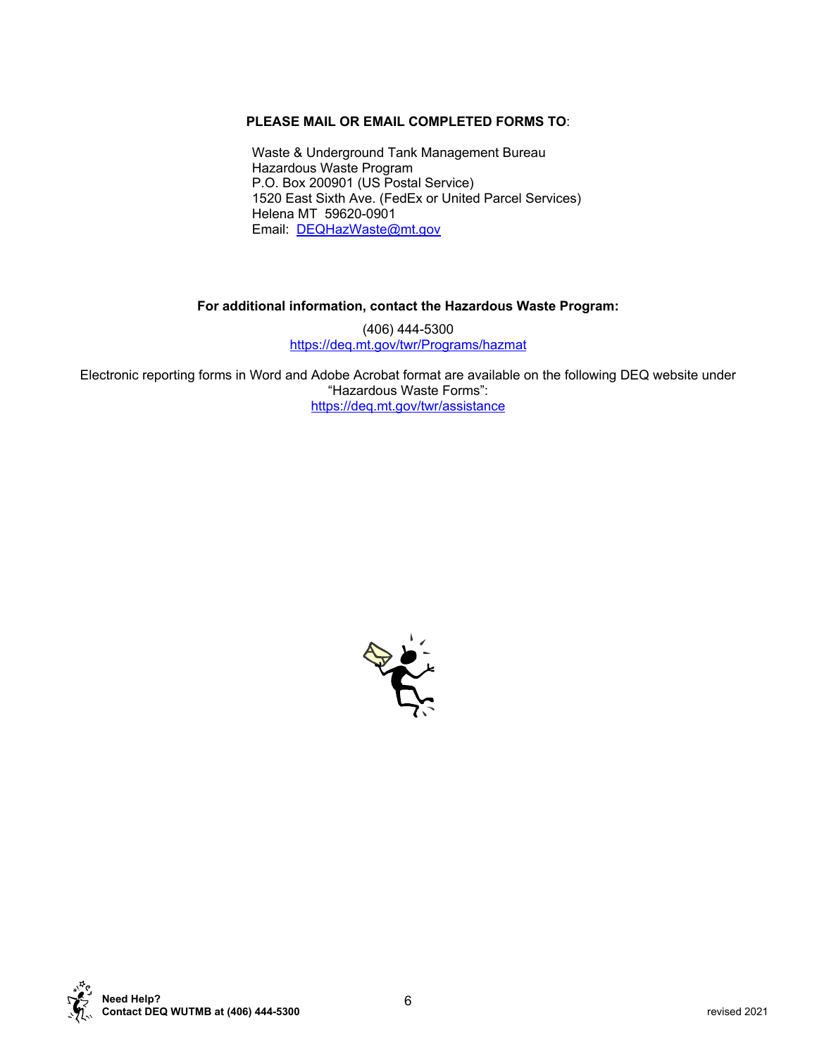# **PLEASE MAIL OR EMAIL COMPLETED FORMS TO**:

Waste & Underground Tank Management Bureau Hazardous Waste Program P.O. Box 200901 (US Postal Service) 1520 East Sixth Ave. (FedEx or United Parcel Services) Helena MT 59620-0901 Email: DEQHazWaste@mt.gov

## **For additional information, contact the Hazardous Waste Program:**

(406) 444-5300 https://deq.mt.gov/twr/Programs/hazmat

Electronic reporting forms in Word and Adobe Acrobat format are available on the following DEQ website under "Hazardous Waste Forms": https://deq.mt.gov/twr/assistance



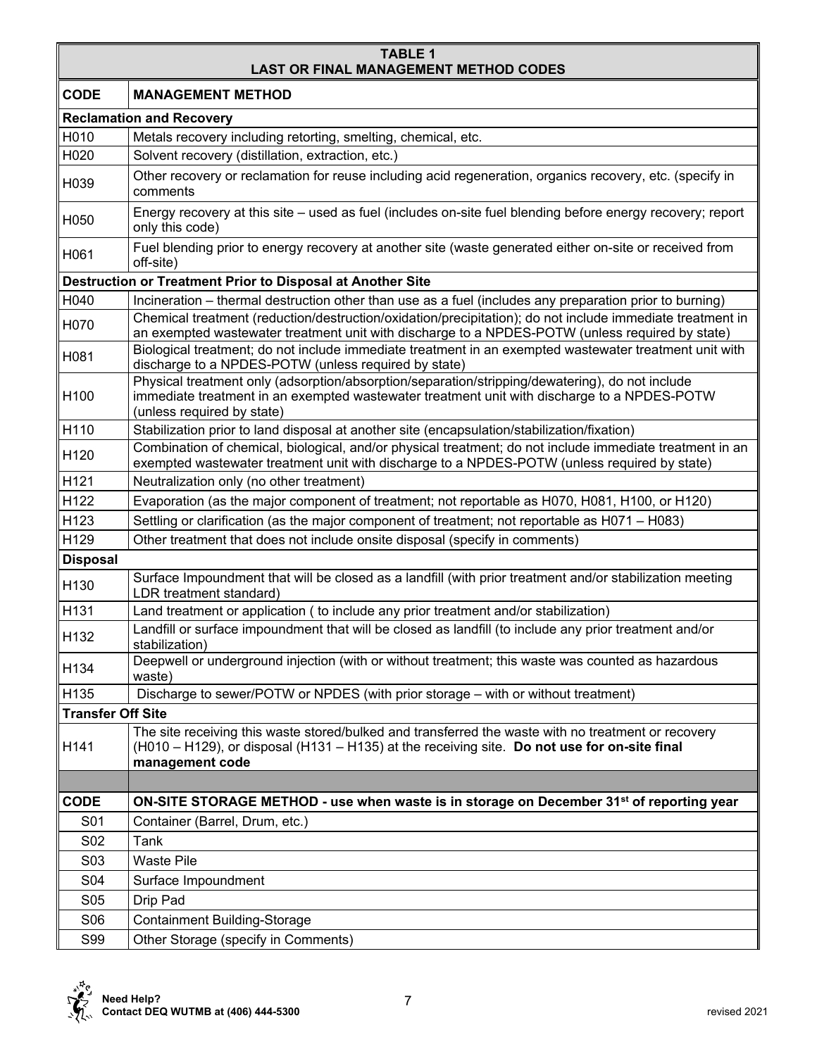## **TABLE 1 LAST OR FINAL MANAGEMENT METHOD CODES**

| <b>CODE</b>              | <b>MANAGEMENT METHOD</b>                                                                                                                                                                                                     |  |  |  |  |  |  |  |
|--------------------------|------------------------------------------------------------------------------------------------------------------------------------------------------------------------------------------------------------------------------|--|--|--|--|--|--|--|
|                          | <b>Reclamation and Recovery</b>                                                                                                                                                                                              |  |  |  |  |  |  |  |
| H010                     | Metals recovery including retorting, smelting, chemical, etc.                                                                                                                                                                |  |  |  |  |  |  |  |
| H020                     | Solvent recovery (distillation, extraction, etc.)                                                                                                                                                                            |  |  |  |  |  |  |  |
| H039                     | Other recovery or reclamation for reuse including acid regeneration, organics recovery, etc. (specify in<br>comments                                                                                                         |  |  |  |  |  |  |  |
| H050                     | Energy recovery at this site – used as fuel (includes on-site fuel blending before energy recovery; report<br>only this code)                                                                                                |  |  |  |  |  |  |  |
| H061                     | Fuel blending prior to energy recovery at another site (waste generated either on-site or received from<br>off-site)                                                                                                         |  |  |  |  |  |  |  |
|                          | Destruction or Treatment Prior to Disposal at Another Site                                                                                                                                                                   |  |  |  |  |  |  |  |
| H040                     | Incineration – thermal destruction other than use as a fuel (includes any preparation prior to burning)                                                                                                                      |  |  |  |  |  |  |  |
| H070                     | Chemical treatment (reduction/destruction/oxidation/precipitation); do not include immediate treatment in<br>an exempted wastewater treatment unit with discharge to a NPDES-POTW (unless required by state)                 |  |  |  |  |  |  |  |
| H081                     | Biological treatment; do not include immediate treatment in an exempted wastewater treatment unit with<br>discharge to a NPDES-POTW (unless required by state)                                                               |  |  |  |  |  |  |  |
| H <sub>100</sub>         | Physical treatment only (adsorption/absorption/separation/stripping/dewatering), do not include<br>immediate treatment in an exempted wastewater treatment unit with discharge to a NPDES-POTW<br>(unless required by state) |  |  |  |  |  |  |  |
| H110                     | Stabilization prior to land disposal at another site (encapsulation/stabilization/fixation)                                                                                                                                  |  |  |  |  |  |  |  |
| H <sub>120</sub>         | Combination of chemical, biological, and/or physical treatment; do not include immediate treatment in an<br>exempted wastewater treatment unit with discharge to a NPDES-POTW (unless required by state)                     |  |  |  |  |  |  |  |
| H121                     | Neutralization only (no other treatment)                                                                                                                                                                                     |  |  |  |  |  |  |  |
| H122                     | Evaporation (as the major component of treatment; not reportable as H070, H081, H100, or H120)                                                                                                                               |  |  |  |  |  |  |  |
| H123                     | Settling or clarification (as the major component of treatment; not reportable as H071 - H083)                                                                                                                               |  |  |  |  |  |  |  |
| H129                     | Other treatment that does not include onsite disposal (specify in comments)                                                                                                                                                  |  |  |  |  |  |  |  |
| <b>Disposal</b>          |                                                                                                                                                                                                                              |  |  |  |  |  |  |  |
| H130                     | Surface Impoundment that will be closed as a landfill (with prior treatment and/or stabilization meeting<br>LDR treatment standard)                                                                                          |  |  |  |  |  |  |  |
| H131                     | Land treatment or application ( to include any prior treatment and/or stabilization)                                                                                                                                         |  |  |  |  |  |  |  |
| H132                     | Landfill or surface impoundment that will be closed as landfill (to include any prior treatment and/or<br>stabilization)                                                                                                     |  |  |  |  |  |  |  |
| H134                     | Deepwell or underground injection (with or without treatment; this waste was counted as hazardous<br>waste)                                                                                                                  |  |  |  |  |  |  |  |
| H <sub>135</sub>         | Discharge to sewer/POTW or NPDES (with prior storage – with or without treatment)                                                                                                                                            |  |  |  |  |  |  |  |
| <b>Transfer Off Site</b> |                                                                                                                                                                                                                              |  |  |  |  |  |  |  |
| H141                     | The site receiving this waste stored/bulked and transferred the waste with no treatment or recovery<br>(H010 - H129), or disposal (H131 - H135) at the receiving site. Do not use for on-site final<br>management code       |  |  |  |  |  |  |  |
|                          |                                                                                                                                                                                                                              |  |  |  |  |  |  |  |
| <b>CODE</b>              | ON-SITE STORAGE METHOD - use when waste is in storage on December 31 <sup>st</sup> of reporting year                                                                                                                         |  |  |  |  |  |  |  |
| S01                      | Container (Barrel, Drum, etc.)                                                                                                                                                                                               |  |  |  |  |  |  |  |
| S <sub>02</sub>          | Tank                                                                                                                                                                                                                         |  |  |  |  |  |  |  |
| S <sub>0</sub> 3         | <b>Waste Pile</b>                                                                                                                                                                                                            |  |  |  |  |  |  |  |
| S04                      | Surface Impoundment                                                                                                                                                                                                          |  |  |  |  |  |  |  |
| S <sub>05</sub>          | Drip Pad                                                                                                                                                                                                                     |  |  |  |  |  |  |  |
| S06                      | Containment Building-Storage                                                                                                                                                                                                 |  |  |  |  |  |  |  |
| S99                      | Other Storage (specify in Comments)                                                                                                                                                                                          |  |  |  |  |  |  |  |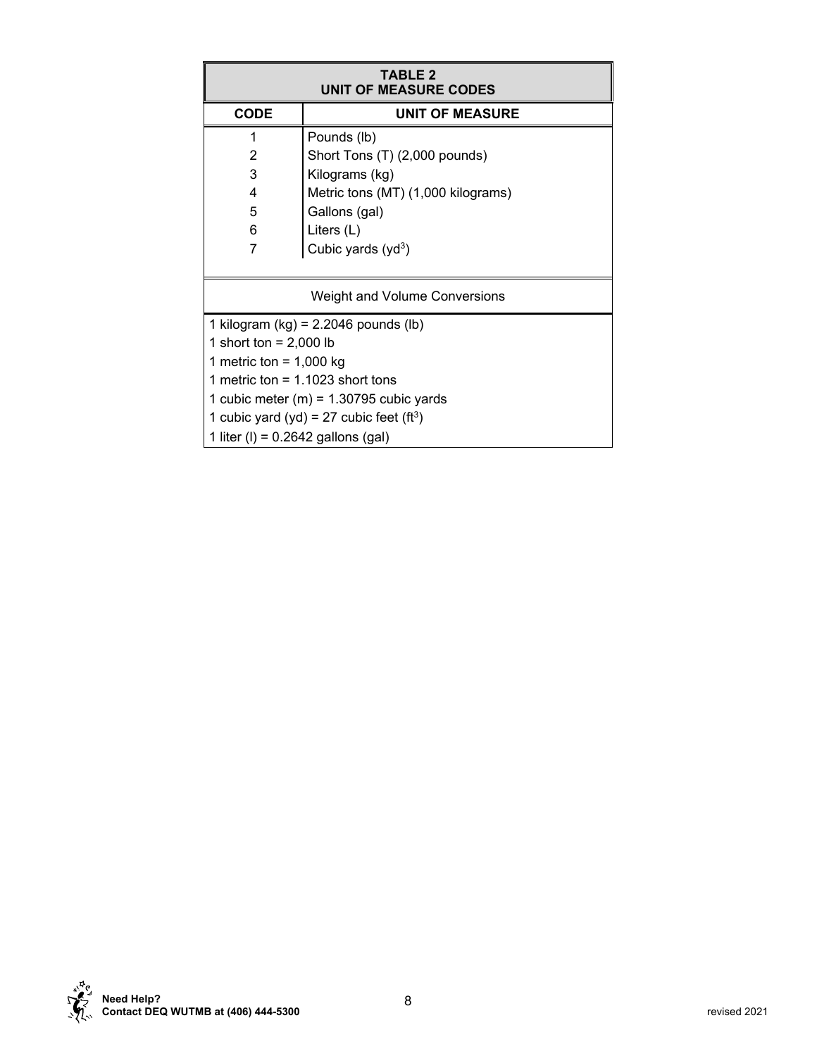| <b>TABLE 2</b><br><b>UNIT OF MEASURE CODES</b>       |                                    |  |  |  |  |  |  |  |
|------------------------------------------------------|------------------------------------|--|--|--|--|--|--|--|
| <b>CODE</b><br><b>UNIT OF MEASURE</b>                |                                    |  |  |  |  |  |  |  |
| 1                                                    | Pounds (lb)                        |  |  |  |  |  |  |  |
| 2                                                    | Short Tons (T) (2,000 pounds)      |  |  |  |  |  |  |  |
| 3                                                    | Kilograms (kg)                     |  |  |  |  |  |  |  |
| 4                                                    | Metric tons (MT) (1,000 kilograms) |  |  |  |  |  |  |  |
| 5<br>Gallons (gal)                                   |                                    |  |  |  |  |  |  |  |
| 6<br>Liters $(L)$                                    |                                    |  |  |  |  |  |  |  |
| 7<br>Cubic yards $(yd3)$                             |                                    |  |  |  |  |  |  |  |
|                                                      |                                    |  |  |  |  |  |  |  |
| <b>Weight and Volume Conversions</b>                 |                                    |  |  |  |  |  |  |  |
| 1 kilogram (kg) = $2.2046$ pounds (lb)               |                                    |  |  |  |  |  |  |  |
| 1 short ton = $2,000$ lb                             |                                    |  |  |  |  |  |  |  |
| 1 metric ton = $1,000$ kg                            |                                    |  |  |  |  |  |  |  |
| 1 metric ton = $1.1023$ short tons                   |                                    |  |  |  |  |  |  |  |
| 1 cubic meter (m) = $1.30795$ cubic yards            |                                    |  |  |  |  |  |  |  |
| 1 cubic yard (yd) = 27 cubic feet (ft <sup>3</sup> ) |                                    |  |  |  |  |  |  |  |
| 1 liter (I) = $0.2642$ gallons (gal)                 |                                    |  |  |  |  |  |  |  |

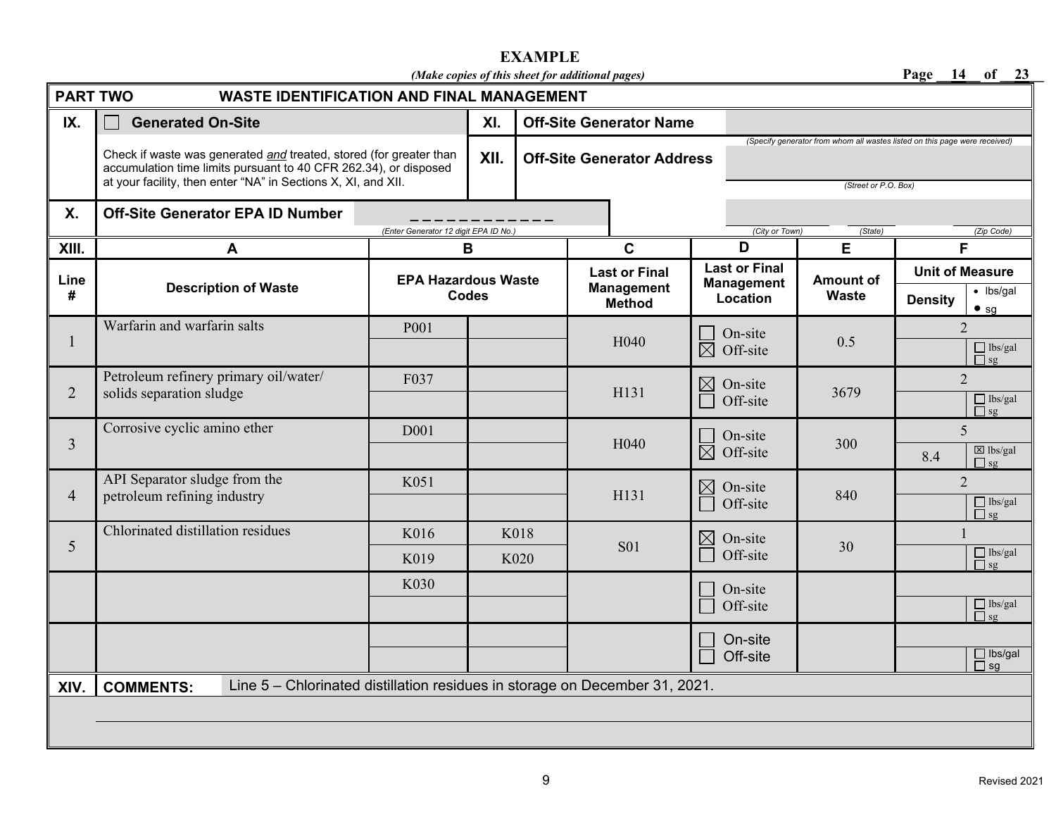# **EXAMPLE**

*(Make copies of this sheet for additional pages)* **Page \_\_14\_\_ of \_\_23\_\_** 

| <b>PART TWO</b><br><b>WASTE IDENTIFICATION AND FINAL MANAGEMENT</b> |                                                                                                                                                                                                         |                                       |              |                                |                                   |                                    |                                                                                                    |                |                                  |                 |                                                                                                                                                                                                                                                 |
|---------------------------------------------------------------------|---------------------------------------------------------------------------------------------------------------------------------------------------------------------------------------------------------|---------------------------------------|--------------|--------------------------------|-----------------------------------|------------------------------------|----------------------------------------------------------------------------------------------------|----------------|----------------------------------|-----------------|-------------------------------------------------------------------------------------------------------------------------------------------------------------------------------------------------------------------------------------------------|
| IX.                                                                 | <b>Generated On-Site</b>                                                                                                                                                                                | XI.                                   |              | <b>Off-Site Generator Name</b> |                                   |                                    |                                                                                                    |                |                                  |                 |                                                                                                                                                                                                                                                 |
|                                                                     | Check if waste was generated and treated, stored (for greater than<br>accumulation time limits pursuant to 40 CFR 262.34), or disposed<br>at your facility, then enter "NA" in Sections X, XI, and XII. | XII.                                  |              |                                | <b>Off-Site Generator Address</b> |                                    | (Specify generator from whom all wastes listed on this page were received)<br>(Street or P.O. Box) |                |                                  |                 |                                                                                                                                                                                                                                                 |
| <b>X.</b>                                                           | <b>Off-Site Generator EPA ID Number</b>                                                                                                                                                                 |                                       |              |                                |                                   |                                    |                                                                                                    |                |                                  |                 |                                                                                                                                                                                                                                                 |
| XIII.                                                               | A                                                                                                                                                                                                       | (Enter Generator 12 digit EPA ID No.) | B            |                                |                                   | $\mathbf c$                        | D                                                                                                  | (City or Town) | (State)<br>E                     | (Zip Code)<br>F |                                                                                                                                                                                                                                                 |
|                                                                     |                                                                                                                                                                                                         |                                       |              |                                |                                   | <b>Last or Final</b>               | <b>Last or Final</b>                                                                               |                | <b>Unit of Measure</b>           |                 |                                                                                                                                                                                                                                                 |
| Line<br>#                                                           | <b>Description of Waste</b>                                                                                                                                                                             | <b>EPA Hazardous Waste</b>            | <b>Codes</b> |                                |                                   | <b>Management</b><br><b>Method</b> | <b>Management</b><br>Location                                                                      |                | <b>Amount of</b><br><b>Waste</b> | <b>Density</b>  | $\bullet$ lbs/gal<br>$•$ sg                                                                                                                                                                                                                     |
| $\mathbf{l}$                                                        | Warfarin and warfarin salts                                                                                                                                                                             | P001                                  |              |                                |                                   | H <sub>040</sub>                   | On-site<br>闵<br>Off-site                                                                           |                | 0.5                              |                 | $\overline{2}$<br>$\Box$ lbs/gal<br>$\Box$ sg                                                                                                                                                                                                   |
| $\overline{2}$                                                      | Petroleum refinery primary oil/water/<br>solids separation sludge                                                                                                                                       | F037                                  |              |                                |                                   | H131                               | $\boxtimes$<br>On-site<br>Off-site                                                                 |                | 3679                             |                 | $\overline{2}$<br>$\Box$ lbs/gal<br>$\Box$ sg                                                                                                                                                                                                   |
| $\overline{3}$                                                      | Corrosive cyclic amino ether                                                                                                                                                                            | D <sub>001</sub>                      |              |                                |                                   | H <sub>040</sub>                   | On-site<br>$\overline{\boxtimes}$<br>Off-site                                                      |                | 300                              | 8.4             | 5<br>$\boxtimes$ lbs/gal<br>$\Box$ sg                                                                                                                                                                                                           |
| $\overline{4}$                                                      | API Separator sludge from the<br>petroleum refining industry                                                                                                                                            | K051                                  |              |                                |                                   | H131                               | $\boxtimes$<br>On-site<br>Off-site                                                                 |                | 840                              |                 | $\overline{2}$<br>$\Box$ lbs/gal<br>$\Box$ sg                                                                                                                                                                                                   |
|                                                                     | Chlorinated distillation residues                                                                                                                                                                       | K016                                  |              | K018                           |                                   |                                    | $\boxtimes$                                                                                        | On-site        |                                  |                 |                                                                                                                                                                                                                                                 |
| 5                                                                   |                                                                                                                                                                                                         | K019                                  |              | K020                           |                                   | <b>S01</b>                         | Off-site                                                                                           |                | 30                               |                 | $\begin{array}{c}\n\Box \text{ lbs/gal} \\ \Box \text{ sg}\n\end{array}$                                                                                                                                                                        |
|                                                                     |                                                                                                                                                                                                         | K030                                  |              |                                |                                   |                                    | On-site<br>Off-site                                                                                |                |                                  |                 | $\fbox{1b s/gal} \begin{tabular}{ c c } \hline \quad \quad & \quad \quad & \quad \quad & \quad \quad \\ \hline \quad \quad & \quad \quad & \quad \quad & \quad \quad \\ \hline \quad \quad & \quad \quad & \quad \quad \\ \hline \end{tabular}$ |
|                                                                     |                                                                                                                                                                                                         |                                       |              |                                |                                   |                                    | On-site<br>Off-site                                                                                |                |                                  |                 | $\Box$ lbs/gal<br>$\Box$ sg                                                                                                                                                                                                                     |
| XIV.                                                                | Line 5 - Chlorinated distillation residues in storage on December 31, 2021.<br><b>COMMENTS:</b>                                                                                                         |                                       |              |                                |                                   |                                    |                                                                                                    |                |                                  |                 |                                                                                                                                                                                                                                                 |